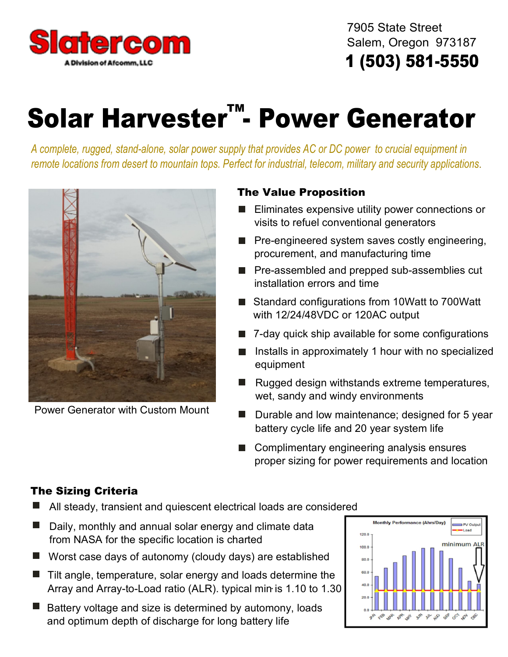

 7905 State Street Salem, Oregon 973187 **1 (503) 581-5550**

# **Solar Harvester™- Power Generator**

*A complete, rugged, stand-alone, solar power supply that provides AC or DC power to crucial equipment in remote locations from desert to mountain tops. Perfect for industrial, telecom, military and security applications*.



Power Generator with Custom Mount

### **The Value Proposition**

- **E** Eliminates expensive utility power connections or visits to refuel conventional generators
- $\blacksquare$  Pre-engineered system saves costly engineering, procurement, and manufacturing time
- **Pre-assembled and prepped sub-assemblies cut** installation errors and time
- Standard configurations from 10Watt to 700Watt with 12/24/48VDC or 120AC output
- 7-day quick ship available for some configurations
- $\blacksquare$  Installs in approximately 1 hour with no specialized equipment
- Rugged design withstands extreme temperatures, **The State** wet, sandy and windy environments
- **Durable and low maintenance; designed for 5 year** battery cycle life and 20 year system life
- Complimentary engineering analysis ensures proper sizing for power requirements and location

### **The Sizing Criteria**

- All steady, transient and quiescent electrical loads are considered
- Daily, monthly and annual solar energy and climate data from NASA for the specific location is charted
- Worst case days of autonomy (cloudy days) are established
- Tilt angle, temperature, solar energy and loads determine the Array and Array-to-Load ratio (ALR). typical min is 1.10 to 1.30 .
- Battery voltage and size is determined by automony, loads and optimum depth of discharge for long battery life